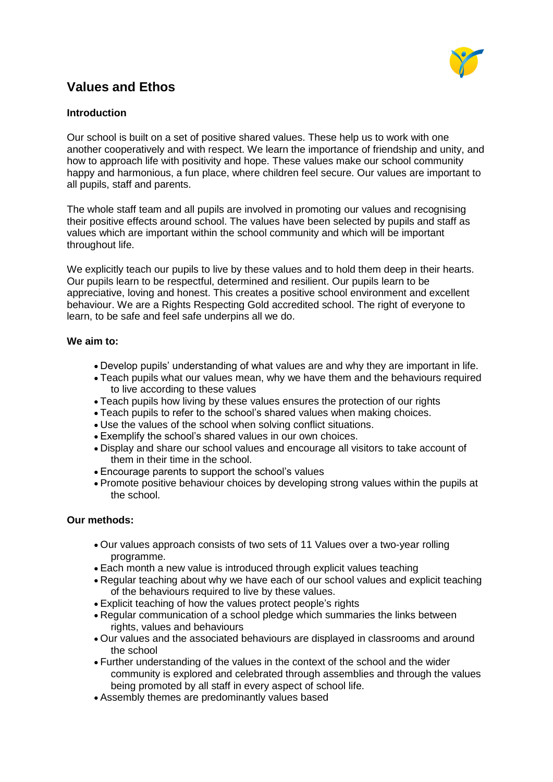

# **Values and Ethos**

### **Introduction**

Our school is built on a set of positive shared values. These help us to work with one another cooperatively and with respect. We learn the importance of friendship and unity, and how to approach life with positivity and hope. These values make our school community happy and harmonious, a fun place, where children feel secure. Our values are important to all pupils, staff and parents.

The whole staff team and all pupils are involved in promoting our values and recognising their positive effects around school. The values have been selected by pupils and staff as values which are important within the school community and which will be important throughout life.

We explicitly teach our pupils to live by these values and to hold them deep in their hearts. Our pupils learn to be respectful, determined and resilient. Our pupils learn to be appreciative, loving and honest. This creates a positive school environment and excellent behaviour. We are a Rights Respecting Gold accredited school. The right of everyone to learn, to be safe and feel safe underpins all we do.

#### **We aim to:**

- Develop pupils' understanding of what values are and why they are important in life.
- Teach pupils what our values mean, why we have them and the behaviours required to live according to these values
- Teach pupils how living by these values ensures the protection of our rights
- Teach pupils to refer to the school's shared values when making choices.
- Use the values of the school when solving conflict situations.
- Exemplify the school's shared values in our own choices.
- Display and share our school values and encourage all visitors to take account of them in their time in the school.
- Encourage parents to support the school's values
- Promote positive behaviour choices by developing strong values within the pupils at the school.

#### **Our methods:**

- Our values approach consists of two sets of 11 Values over a two-year rolling programme.
- Each month a new value is introduced through explicit values teaching
- Regular teaching about why we have each of our school values and explicit teaching of the behaviours required to live by these values.
- Explicit teaching of how the values protect people's rights
- Regular communication of a school pledge which summaries the links between rights, values and behaviours
- Our values and the associated behaviours are displayed in classrooms and around the school
- Further understanding of the values in the context of the school and the wider community is explored and celebrated through assemblies and through the values being promoted by all staff in every aspect of school life.
- Assembly themes are predominantly values based